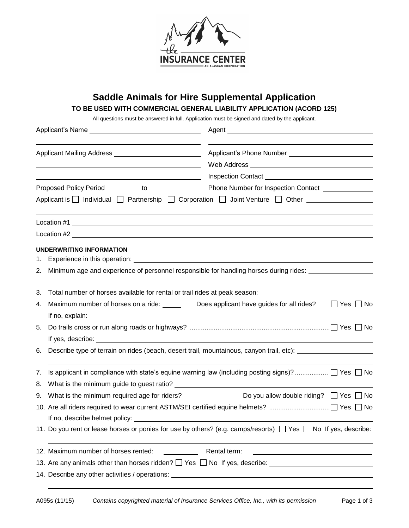

## **Saddle Animals for Hire Supplemental Application**

**TO BE USED WITH COMMERCIAL GENERAL LIABILITY APPLICATION (ACORD 125)** 

All questions must be answered in full. Application must be signed and dated by the applicant.

|    |                                                                                                      | Agent                                                                                                                                                                                                                          |  |
|----|------------------------------------------------------------------------------------------------------|--------------------------------------------------------------------------------------------------------------------------------------------------------------------------------------------------------------------------------|--|
|    |                                                                                                      |                                                                                                                                                                                                                                |  |
|    | <u> 1980 - Johann Barbara, martin a</u>                                                              | Web Address New York Changes and Changes and Changes and Changes and Changes and Changes and Changes and Changes and Changes and Changes and Changes and Changes and Changes and Changes and Changes and Changes and Changes a |  |
|    |                                                                                                      |                                                                                                                                                                                                                                |  |
|    | Proposed Policy Period<br>to                                                                         | Phone Number for Inspection Contact <b>CONSUMPLER</b>                                                                                                                                                                          |  |
|    |                                                                                                      | Applicant is $\Box$ Individual $\Box$ Partnership $\Box$ Corporation $\Box$ Joint Venture $\Box$ Other $\Box$                                                                                                                  |  |
|    |                                                                                                      |                                                                                                                                                                                                                                |  |
|    |                                                                                                      |                                                                                                                                                                                                                                |  |
|    | UNDERWRITING INFORMATION                                                                             |                                                                                                                                                                                                                                |  |
| 1. |                                                                                                      |                                                                                                                                                                                                                                |  |
| 2. | Minimum age and experience of personnel responsible for handling horses during rides: ______________ |                                                                                                                                                                                                                                |  |
| 3. | Total number of horses available for rental or trail rides at peak season: _________________________ |                                                                                                                                                                                                                                |  |
| 4. | Maximum number of horses on a ride: ______ Does applicant have guides for all rides?                 | $\Box$ Yes $\Box$ No                                                                                                                                                                                                           |  |
|    |                                                                                                      |                                                                                                                                                                                                                                |  |
| 5. |                                                                                                      |                                                                                                                                                                                                                                |  |
|    |                                                                                                      |                                                                                                                                                                                                                                |  |
| 6. | Describe type of terrain on rides (beach, desert trail, mountainous, canyon trail, etc):             |                                                                                                                                                                                                                                |  |
| 7. |                                                                                                      | Is applicant in compliance with state's equine warning law (including posting signs)?  □ Yes □ No                                                                                                                              |  |
| 8. |                                                                                                      |                                                                                                                                                                                                                                |  |
| 9. |                                                                                                      | What is the minimum required age for riders? $\qquad \qquad$ Do you allow double riding? $\Box$ Yes $\Box$ No                                                                                                                  |  |
|    |                                                                                                      |                                                                                                                                                                                                                                |  |
|    |                                                                                                      |                                                                                                                                                                                                                                |  |
|    |                                                                                                      | 11. Do you rent or lease horses or ponies for use by others? (e.g. camps/resorts) □ Yes □ No If yes, describe:                                                                                                                 |  |
|    | 12. Maximum number of horses rented:                                                                 | Rental term:<br><u> 1989 - Johann Barn, mars ann an t-Amhain an t-Amhain an t-Amhain an t-Amhain an t-Amhain an t-Amhain an t-Amh</u>                                                                                          |  |
|    |                                                                                                      | 13. Are any animals other than horses ridden? $\Box$ Yes $\Box$ No If yes, describe: $\Box$                                                                                                                                    |  |
|    |                                                                                                      |                                                                                                                                                                                                                                |  |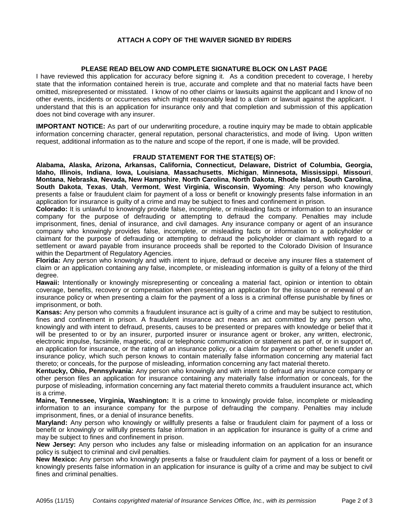## **ATTACH A COPY OF THE WAIVER SIGNED BY RIDERS**

## **PLEASE READ BELOW AND COMPLETE SIGNATURE BLOCK ON LAST PAGE**

I have reviewed this application for accuracy before signing it. As a condition precedent to coverage, I hereby state that the information contained herein is true, accurate and complete and that no material facts have been omitted, misrepresented or misstated. I know of no other claims or lawsuits against the applicant and I know of no other events, incidents or occurrences which might reasonably lead to a claim or lawsuit against the applicant. I understand that this is an application for insurance only and that completion and submission of this application does not bind coverage with any insurer.

**IMPORTANT NOTICE:** As part of our underwriting procedure, a routine inquiry may be made to obtain applicable information concerning character, general reputation, personal characteristics, and mode of living. Upon written request, additional information as to the nature and scope of the report, if one is made, will be provided.

## **FRAUD STATEMENT FOR THE STATE(S) OF:**

**Alabama, Alaska, Arizona, Arkansas, California, Connecticut, Delaware, District of Columbia, Georgia, Idaho, Illinois, Indiana**, **Iowa, Louisiana**, **Massachusetts**, **Michigan**, **Minnesota, Mississippi**, **Missouri**, **Montana**, **Nebraska**, **Nevada, New Hampshire**, **North Carolina**, **North Dakota**, **Rhode Island, South Carolina**, **South Dakota**, **Texas**, **Utah**, **Vermont**, **West Virginia**, **Wisconsin**, **Wyoming**: Any person who knowingly presents a false or fraudulent claim for payment of a loss or benefit or knowingly presents false information in an application for insurance is guilty of a crime and may be subject to fines and confinement in prison.

**Colorado:** It is unlawful to knowingly provide false, incomplete, or misleading facts or information to an insurance company for the purpose of defrauding or attempting to defraud the company. Penalties may include imprisonment, fines, denial of insurance, and civil damages. Any insurance company or agent of an insurance company who knowingly provides false, incomplete, or misleading facts or information to a policyholder or claimant for the purpose of defrauding or attempting to defraud the policyholder or claimant with regard to a settlement or award payable from insurance proceeds shall be reported to the Colorado Division of Insurance within the Department of Regulatory Agencies.

**Florida:** Any person who knowingly and with intent to injure, defraud or deceive any insurer files a statement of claim or an application containing any false, incomplete, or misleading information is guilty of a felony of the third degree.

**Hawaii:** Intentionally or knowingly misrepresenting or concealing a material fact, opinion or intention to obtain coverage, benefits, recovery or compensation when presenting an application for the issuance or renewal of an insurance policy or when presenting a claim for the payment of a loss is a criminal offense punishable by fines or imprisonment, or both.

**Kansas:** Any person who commits a fraudulent insurance act is guilty of a crime and may be subject to restitution, fines and confinement in prison. A fraudulent insurance act means an act committed by any person who, knowingly and with intent to defraud, presents, causes to be presented or prepares with knowledge or belief that it will be presented to or by an insurer, purported insurer or insurance agent or broker, any written, electronic, electronic impulse, facsimile, magnetic, oral or telephonic communication or statement as part of, or in support of, an application for insurance, or the rating of an insurance policy, or a claim for payment or other benefit under an insurance policy, which such person knows to contain materially false information concerning any material fact thereto; or conceals, for the purpose of misleading, information concerning any fact material thereto.

**Kentucky, Ohio, Pennsylvania:** Any person who knowingly and with intent to defraud any insurance company or other person files an application for insurance containing any materially false information or conceals, for the purpose of misleading, information concerning any fact material thereto commits a fraudulent insurance act, which is a crime.

**Maine, Tennessee, Virginia, Washington:** It is a crime to knowingly provide false, incomplete or misleading information to an insurance company for the purpose of defrauding the company. Penalties may include imprisonment, fines, or a denial of insurance benefits.

**Maryland:** Any person who knowingly or willfully presents a false or fraudulent claim for payment of a loss or benefit or knowingly or willfully presents false information in an application for insurance is guilty of a crime and may be subject to fines and confinement in prison.

**New Jersey:** Any person who includes any false or misleading information on an application for an insurance policy is subject to criminal and civil penalties.

**New Mexico:** Any person who knowingly presents a false or fraudulent claim for payment of a loss or benefit or knowingly presents false information in an application for insurance is guilty of a crime and may be subject to civil fines and criminal penalties.